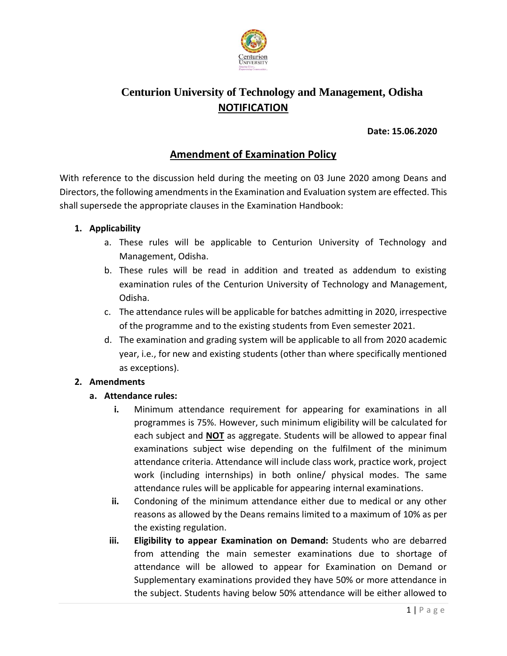

# **Centurion University of Technology and Management, Odisha NOTIFICATION**

## **Date: 15.06.2020**

# **Amendment of Examination Policy**

With reference to the discussion held during the meeting on 03 June 2020 among Deans and Directors, the following amendments in the Examination and Evaluation system are effected. This shall supersede the appropriate clauses in the Examination Handbook:

### **1. Applicability**

- a. These rules will be applicable to Centurion University of Technology and Management, Odisha.
- b. These rules will be read in addition and treated as addendum to existing examination rules of the Centurion University of Technology and Management, Odisha.
- c. The attendance rules will be applicable for batches admitting in 2020, irrespective of the programme and to the existing students from Even semester 2021.
- d. The examination and grading system will be applicable to all from 2020 academic year, i.e., for new and existing students (other than where specifically mentioned as exceptions).

## **2. Amendments**

## **a. Attendance rules:**

- **i.** Minimum attendance requirement for appearing for examinations in all programmes is 75%. However, such minimum eligibility will be calculated for each subject and **NOT** as aggregate. Students will be allowed to appear final examinations subject wise depending on the fulfilment of the minimum attendance criteria. Attendance will include class work, practice work, project work (including internships) in both online/ physical modes. The same attendance rules will be applicable for appearing internal examinations.
- **ii.** Condoning of the minimum attendance either due to medical or any other reasons as allowed by the Deans remains limited to a maximum of 10% as per the existing regulation.
- **iii. Eligibility to appear Examination on Demand:** Students who are debarred from attending the main semester examinations due to shortage of attendance will be allowed to appear for Examination on Demand or Supplementary examinations provided they have 50% or more attendance in the subject. Students having below 50% attendance will be either allowed to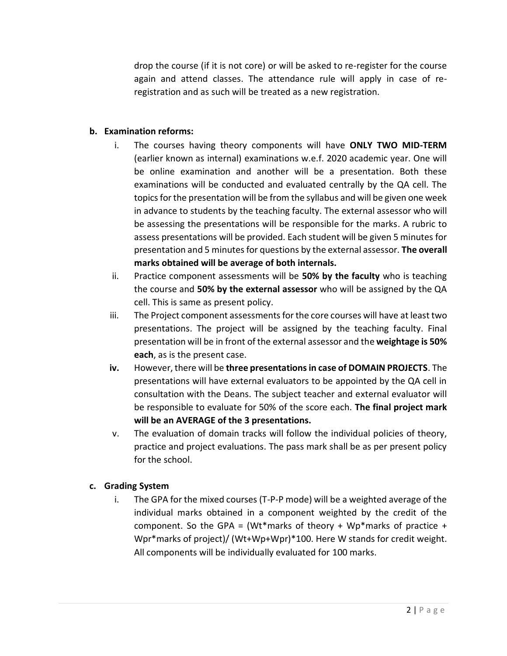drop the course (if it is not core) or will be asked to re-register for the course again and attend classes. The attendance rule will apply in case of reregistration and as such will be treated as a new registration.

## **b. Examination reforms:**

- i. The courses having theory components will have **ONLY TWO MID-TERM** (earlier known as internal) examinations w.e.f. 2020 academic year. One will be online examination and another will be a presentation. Both these examinations will be conducted and evaluated centrally by the QA cell. The topics for the presentation will be from the syllabus and will be given one week in advance to students by the teaching faculty. The external assessor who will be assessing the presentations will be responsible for the marks. A rubric to assess presentations will be provided. Each student will be given 5 minutes for presentation and 5 minutes for questions by the external assessor. **The overall marks obtained will be average of both internals.**
- ii. Practice component assessments will be **50% by the faculty** who is teaching the course and **50% by the external assessor** who will be assigned by the QA cell. This is same as present policy.
- iii. The Project component assessments for the core courses will have at least two presentations. The project will be assigned by the teaching faculty. Final presentation will be in front of the external assessor and the **weightage is 50% each**, as is the present case.
- **iv.** However, there will be **three presentations in case of DOMAIN PROJECTS**. The presentations will have external evaluators to be appointed by the QA cell in consultation with the Deans. The subject teacher and external evaluator will be responsible to evaluate for 50% of the score each. **The final project mark will be an AVERAGE of the 3 presentations.**
- v. The evaluation of domain tracks will follow the individual policies of theory, practice and project evaluations. The pass mark shall be as per present policy for the school.

## **c. Grading System**

i. The GPA for the mixed courses (T-P-P mode) will be a weighted average of the individual marks obtained in a component weighted by the credit of the component. So the GPA = (Wt\*marks of theory + Wp\*marks of practice + Wpr\*marks of project)/ (Wt+Wp+Wpr)\*100. Here W stands for credit weight. All components will be individually evaluated for 100 marks.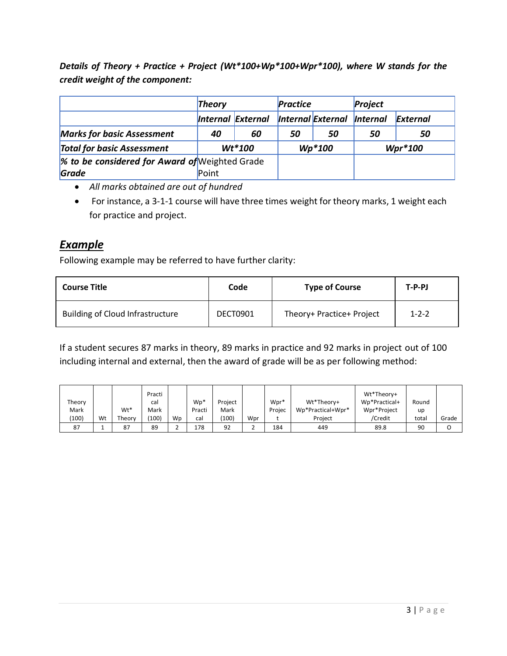*Details of Theory + Practice + Project (Wt\*100+Wp\*100+Wpr\*100), where W stands for the credit weight of the component:*

|                                                | <b>Theory</b> |                   | <b>Practice</b> |                          | Project                |           |
|------------------------------------------------|---------------|-------------------|-----------------|--------------------------|------------------------|-----------|
|                                                |               | Internal External |                 | <b>Internal External</b> | <i><b>Internal</b></i> | External  |
| <b>Marks for basic Assessment</b>              | 40            | 60                | 50              | 50                       | 50                     | 50        |
| <b>Total for basic Assessment</b>              |               | $Wt*100$          |                 | $Wp*100$                 |                        | $Wpr*100$ |
| % to be considered for Award of Weighted Grade |               |                   |                 |                          |                        |           |
| Grade                                          | Point         |                   |                 |                          |                        |           |

- *All marks obtained are out of hundred*
- For instance, a 3-1-1 course will have three times weight for theory marks, 1 weight each for practice and project.

# *Example*

Following example may be referred to have further clarity:

| <b>Course Title</b>                     | Code     | <b>Type of Course</b>     | $T-P-PJ$    |
|-----------------------------------------|----------|---------------------------|-------------|
| <b>Building of Cloud Infrastructure</b> | DECT0901 | Theory+ Practice+ Project | $1 - 2 - 2$ |

If a student secures 87 marks in theory, 89 marks in practice and 92 marks in project out of 100 including internal and external, then the award of grade will be as per following method:

|        |    |        | Practi          |    |        |         |     |        |                   | Wt*Theory+    |       |       |
|--------|----|--------|-----------------|----|--------|---------|-----|--------|-------------------|---------------|-------|-------|
| Theory |    |        | cal             |    | $Wp*$  | Project |     | Wpr*   | Wt*Theory+        | Wp*Practical+ | Round |       |
| Mark   |    | Wt*    | Mark            |    | Practi | Mark    |     | Projec | Wp*Practical+Wpr* | Wpr*Project   | up    |       |
| (100)  | Wt | Theory | $^{\prime}100)$ | Wp | cal    | 100)    | Wpr |        | Project           | /Credit       | total | Grade |
| 87     |    | 87     | 89              |    | 178    | 92      |     | 184    | 449               | 89.8          | 90    |       |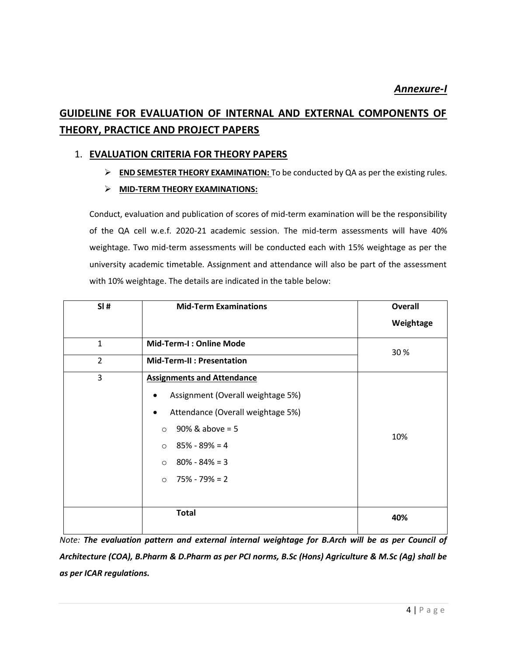# **GUIDELINE FOR EVALUATION OF INTERNAL AND EXTERNAL COMPONENTS OF THEORY, PRACTICE AND PROJECT PAPERS**

# 1. **EVALUATION CRITERIA FOR THEORY PAPERS**

- **END SEMESTER THEORY EXAMINATION:** To be conducted by QA as per the existing rules.
- **MID-TERM THEORY EXAMINATIONS:**

Conduct, evaluation and publication of scores of mid-term examination will be the responsibility of the QA cell w.e.f. 2020-21 academic session. The mid-term assessments will have 40% weightage. Two mid-term assessments will be conducted each with 15% weightage as per the university academic timetable. Assignment and attendance will also be part of the assessment with 10% weightage. The details are indicated in the table below:

| SI#            | <b>Mid-Term Examinations</b>                                                                                                                                                                                                               | <b>Overall</b> |
|----------------|--------------------------------------------------------------------------------------------------------------------------------------------------------------------------------------------------------------------------------------------|----------------|
|                |                                                                                                                                                                                                                                            | Weightage      |
| $\mathbf{1}$   | <b>Mid-Term-I: Online Mode</b>                                                                                                                                                                                                             | 30%            |
| $\overline{2}$ | <b>Mid-Term-II: Presentation</b>                                                                                                                                                                                                           |                |
| 3              | <b>Assignments and Attendance</b><br>Assignment (Overall weightage 5%)<br>Attendance (Overall weightage 5%)<br>٠<br>$90\%$ & above = 5<br>$\circ$<br>$85\% - 89\% = 4$<br>$\circ$<br>$80\% - 84\% = 3$<br>$\circ$<br>$\circ$ 75% - 79% = 2 | 10%            |
|                | <b>Total</b>                                                                                                                                                                                                                               | 40%            |

*Note: The evaluation pattern and external internal weightage for B.Arch will be as per Council of Architecture (COA), B.Pharm & D.Pharm as per PCI norms, B.Sc (Hons) Agriculture & M.Sc (Ag) shall be as per ICAR regulations.*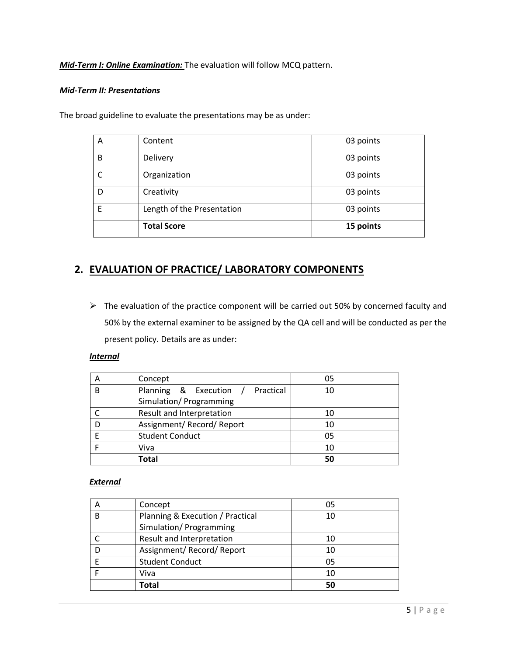*Mid-Term I: Online Examination:* The evaluation will follow MCQ pattern.

#### *Mid-Term II: Presentations*

The broad guideline to evaluate the presentations may be as under:

| A | Content                    | 03 points |
|---|----------------------------|-----------|
| B | Delivery                   | 03 points |
| C | Organization               | 03 points |
| D | Creativity                 | 03 points |
| F | Length of the Presentation | 03 points |
|   | <b>Total Score</b>         | 15 points |

# **2. EVALUATION OF PRACTICE/ LABORATORY COMPONENTS**

 $\triangleright$  The evaluation of the practice component will be carried out 50% by concerned faculty and 50% by the external examiner to be assigned by the QA cell and will be conducted as per the present policy. Details are as under:

### *Internal*

| Α | Concept                             | 05 |
|---|-------------------------------------|----|
| B | Planning & Execution /<br>Practical | 10 |
|   | Simulation/ Programming             |    |
|   | Result and Interpretation           | 10 |
|   | Assignment/ Record/ Report          | 10 |
|   | <b>Student Conduct</b>              | 05 |
|   | Viva                                | 10 |
|   | <b>Total</b>                        | 50 |

#### *External*

|   | Concept                          | 05 |
|---|----------------------------------|----|
| B | Planning & Execution / Practical | 10 |
|   | Simulation/ Programming          |    |
|   | Result and Interpretation        | 10 |
|   | Assignment/ Record/ Report       | 10 |
|   | <b>Student Conduct</b>           | 05 |
|   | Viva                             | 10 |
|   | Total                            | 50 |